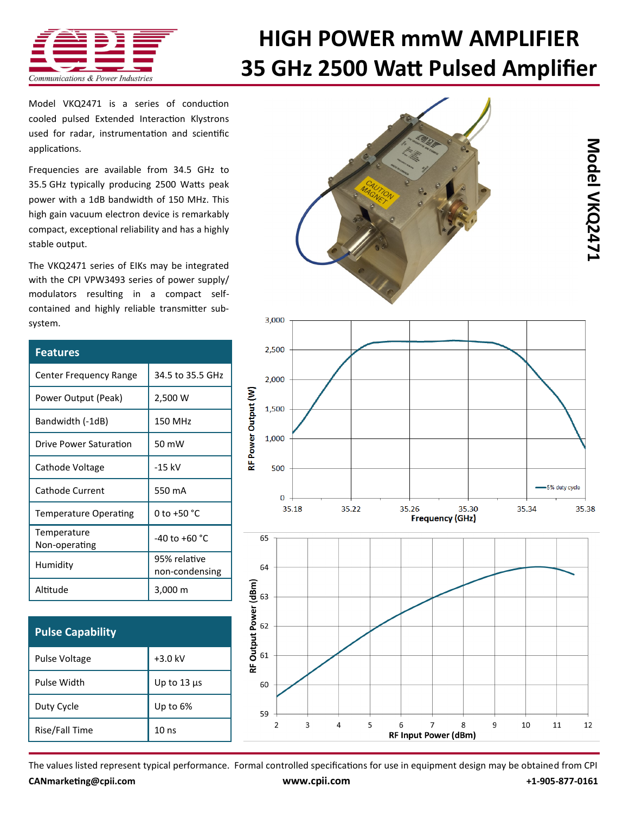

## **HIGH POWER mmW AMPLIFIER 35 GHz 2500 Watt Pulsed Amplifier**

Model VKQ2471 is a series of conduction cooled pulsed Extended Interaction Klystrons used for radar, instrumentation and scientific applications.

Frequencies are available from 34.5 GHz to 35.5 GHz typically producing 2500 Watts peak power with a 1dB bandwidth of 150 MHz. This high gain vacuum electron device is remarkably compact, exceptional reliability and has a highly stable output.

The VKQ2471 series of EIKs may be integrated with the CPI VPW3493 series of power supply/ modulators resulting in a compact selfcontained and highly reliable transmitter subsystem.

| <b>Features</b>              |                                |
|------------------------------|--------------------------------|
| Center Frequency Range       | 34.5 to 35.5 GHz               |
| Power Output (Peak)          | 2,500 W                        |
| Bandwidth (-1dB)             | 150 MHz                        |
| Drive Power Saturation       | 50 mW                          |
| Cathode Voltage              | $-15$ kV                       |
| Cathode Current              | 550 mA                         |
| <b>Temperature Operating</b> | 0 to +50 °C                    |
| Temperature<br>Non-operating | $-40$ to $+60$ °C              |
| Humidity                     | 95% relative<br>non-condensing |
| Altitude                     | 3,000 m                        |

| <b>Pulse Capability</b> |                  |
|-------------------------|------------------|
| Pulse Voltage           | $+3.0$ kV        |
| Pulse Width             | Up to $13 \mu s$ |
| Duty Cycle              | Up to 6%         |
| Rise/Fall Time          | 10 <sub>ns</sub> |





The values listed represent typical performance. Formal controlled specifications for use in equipment design may be obtained from CPI **[CANmarketing@cpii.com](mailto:CANmarketing@cpii.com) [www.cpii.com](http://www.cpii.com) +1-905-877-0161**